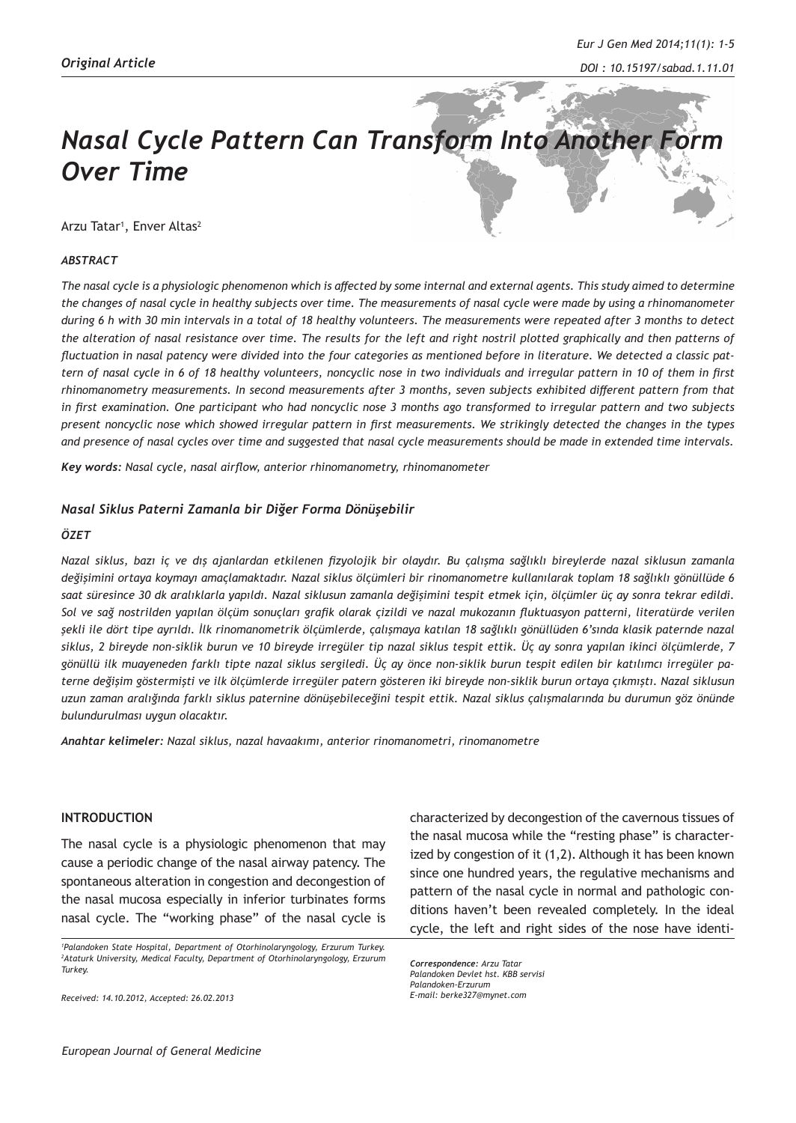# **Nasal Cycle Pattern Can Transform Into Another F** *Over Time*

Arzu Tatar<sup>1</sup>, Enver Altas<sup>2</sup>

### *ABSTRACT*

*The nasal cycle is a physiologic phenomenon which is affected by some internal and external agents. This study aimed to determine the changes of nasal cycle in healthy subjects over time. The measurements of nasal cycle were made by using a rhinomanometer during 6 h with 30 min intervals in a total of 18 healthy volunteers. The measurements were repeated after 3 months to detect the alteration of nasal resistance over time. The results for the left and right nostril plotted graphically and then patterns of fluctuation in nasal patency were divided into the four categories as mentioned before in literature. We detected a classic pattern of nasal cycle in 6 of 18 healthy volunteers, noncyclic nose in two individuals and irregular pattern in 10 of them in first rhinomanometry measurements. In second measurements after 3 months, seven subjects exhibited different pattern from that in first examination. One participant who had noncyclic nose 3 months ago transformed to irregular pattern and two subjects present noncyclic nose which showed irregular pattern in first measurements. We strikingly detected the changes in the types and presence of nasal cycles over time and suggested that nasal cycle measurements should be made in extended time intervals.*

*Key words: Nasal cycle, nasal airflow, anterior rhinomanometry, rhinomanometer*

#### *Nasal Siklus Paterni Zamanla bir Diğer Forma Dönüşebilir*

#### *ÖZET*

*Nazal siklus, bazı iç ve dış ajanlardan etkilenen fizyolojik bir olaydır. Bu çalışma sağlıklı bireylerde nazal siklusun zamanla değişimini ortaya koymayı amaçlamaktadır. Nazal siklus ölçümleri bir rinomanometre kullanılarak toplam 18 sağlıklı gönüllüde 6 saat süresince 30 dk aralıklarla yapıldı. Nazal siklusun zamanla değişimini tespit etmek için, ölçümler üç ay sonra tekrar edildi. Sol ve sağ nostrilden yapılan ölçüm sonuçları grafik olarak çizildi ve nazal mukozanın fluktuasyon patterni, literatürde verilen şekli ile dört tipe ayrıldı. İlk rinomanometrik ölçümlerde, çalışmaya katılan 18 sağlıklı gönüllüden 6'sında klasik paternde nazal siklus, 2 bireyde non-siklik burun ve 10 bireyde irregüler tip nazal siklus tespit ettik. Üç ay sonra yapılan ikinci ölçümlerde, 7 gönüllü ilk muayeneden farklı tipte nazal siklus sergiledi. Üç ay önce non-siklik burun tespit edilen bir katılımcı irregüler paterne değişim göstermişti ve ilk ölçümlerde irregüler patern gösteren iki bireyde non-siklik burun ortaya çıkmıştı. Nazal siklusun uzun zaman aralığında farklı siklus paternine dönüşebileceğini tespit ettik. Nazal siklus çalışmalarında bu durumun göz önünde bulundurulması uygun olacaktır.*

*Anahtar kelimeler: Nazal siklus, nazal havaakımı, anterior rinomanometri, rinomanometre*

### **INTRODUCTION**

The nasal cycle is a physiologic phenomenon that may cause a periodic change of the nasal airway patency. The spontaneous alteration in congestion and decongestion of the nasal mucosa especially in inferior turbinates forms nasal cycle. The "working phase" of the nasal cycle is

*Received: 14.10.2012, Accepted: 26.02.2013*

characterized by decongestion of the cavernous tissues of the nasal mucosa while the "resting phase" is characterized by congestion of it (1,2). Although it has been known since one hundred years, the regulative mechanisms and pattern of the nasal cycle in normal and pathologic conditions haven't been revealed completely. In the ideal cycle, the left and right sides of the nose have identi-

*Correspondence: Arzu Tatar Palandoken Devlet hst. KBB servisi Palandoken-Erzurum E-mail: berke327@mynet.com*

*<sup>1</sup> Palandoken State Hospital, Department of Otorhinolaryngology, Erzurum Turkey. 2 Ataturk University, Medical Faculty, Department of Otorhinolaryngology, Erzurum Turkey.*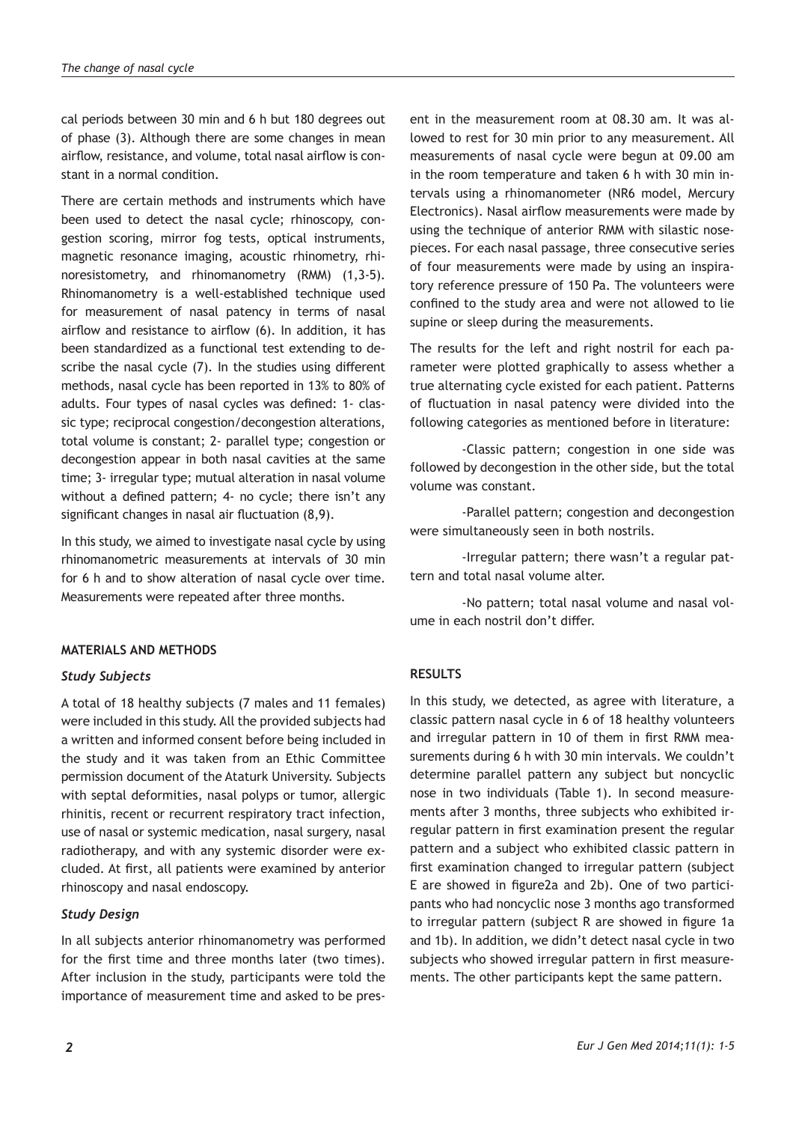cal periods between 30 min and 6 h but 180 degrees out of phase (3). Although there are some changes in mean airflow, resistance, and volume, total nasal airflow is constant in a normal condition.

There are certain methods and instruments which have been used to detect the nasal cycle; rhinoscopy, congestion scoring, mirror fog tests, optical instruments, magnetic resonance imaging, acoustic rhinometry, rhinoresistometry, and rhinomanometry (RMM) (1,3-5). Rhinomanometry is a well-established technique used for measurement of nasal patency in terms of nasal airflow and resistance to airflow (6). In addition, it has been standardized as a functional test extending to describe the nasal cycle (7). In the studies using different methods, nasal cycle has been reported in 13% to 80% of adults. Four types of nasal cycles was defined: 1- classic type; reciprocal congestion/decongestion alterations, total volume is constant; 2- parallel type; congestion or decongestion appear in both nasal cavities at the same time; 3- irregular type; mutual alteration in nasal volume without a defined pattern; 4- no cycle; there isn't any significant changes in nasal air fluctuation (8,9).

In this study, we aimed to investigate nasal cycle by using rhinomanometric measurements at intervals of 30 min for 6 h and to show alteration of nasal cycle over time. Measurements were repeated after three months.

# **MATERIALS AND METHODS**

## *Study Subjects*

A total of 18 healthy subjects (7 males and 11 females) were included in this study. All the provided subjects had a written and informed consent before being included in the study and it was taken from an Ethic Committee permission document of the Ataturk University. Subjects with septal deformities, nasal polyps or tumor, allergic rhinitis, recent or recurrent respiratory tract infection, use of nasal or systemic medication, nasal surgery, nasal radiotherapy, and with any systemic disorder were excluded. At first, all patients were examined by anterior rhinoscopy and nasal endoscopy.

# *Study Design*

In all subjects anterior rhinomanometry was performed for the first time and three months later (two times). After inclusion in the study, participants were told the importance of measurement time and asked to be present in the measurement room at 08.30 am. It was allowed to rest for 30 min prior to any measurement. All measurements of nasal cycle were begun at 09.00 am in the room temperature and taken 6 h with 30 min intervals using a rhinomanometer (NR6 model, Mercury Electronics). Nasal airflow measurements were made by using the technique of anterior RMM with silastic nosepieces. For each nasal passage, three consecutive series of four measurements were made by using an inspiratory reference pressure of 150 Pa. The volunteers were confined to the study area and were not allowed to lie supine or sleep during the measurements.

The results for the left and right nostril for each parameter were plotted graphically to assess whether a true alternating cycle existed for each patient. Patterns of fluctuation in nasal patency were divided into the following categories as mentioned before in literature:

-Classic pattern; congestion in one side was followed by decongestion in the other side, but the total volume was constant.

-Parallel pattern; congestion and decongestion were simultaneously seen in both nostrils.

-Irregular pattern; there wasn't a regular pattern and total nasal volume alter.

-No pattern; total nasal volume and nasal volume in each nostril don't differ.

# **RESULTS**

In this study, we detected, as agree with literature, a classic pattern nasal cycle in 6 of 18 healthy volunteers and irregular pattern in 10 of them in first RMM measurements during 6 h with 30 min intervals. We couldn't determine parallel pattern any subject but noncyclic nose in two individuals (Table 1). In second measurements after 3 months, three subjects who exhibited irregular pattern in first examination present the regular pattern and a subject who exhibited classic pattern in first examination changed to irregular pattern (subject E are showed in figure2a and 2b). One of two participants who had noncyclic nose 3 months ago transformed to irregular pattern (subject R are showed in figure 1a and 1b). In addition, we didn't detect nasal cycle in two subjects who showed irregular pattern in first measurements. The other participants kept the same pattern.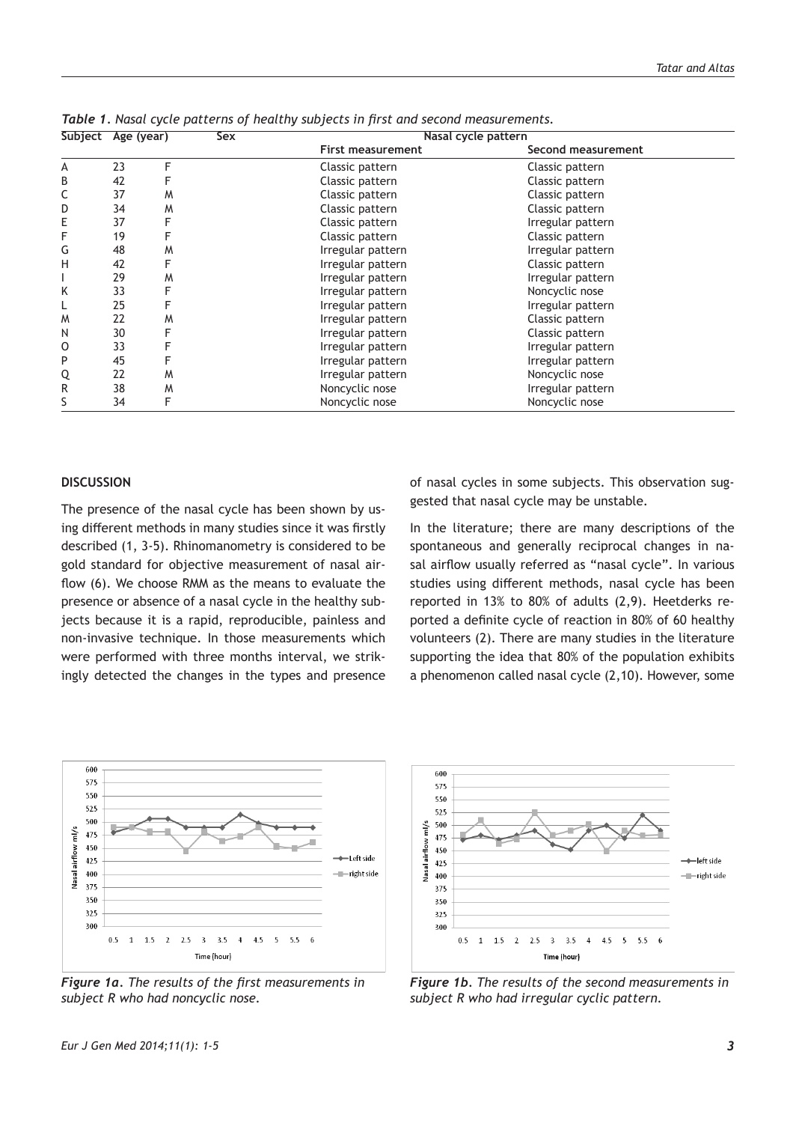|   | Jubject Age (year) |   | ししへ | <b>HUSUL CYCIC PULLETII</b> |                    |  |
|---|--------------------|---|-----|-----------------------------|--------------------|--|
|   |                    |   |     | First measurement           | Second measurement |  |
| А | 23                 | F |     | Classic pattern             | Classic pattern    |  |
| B | 42                 |   |     | Classic pattern             | Classic pattern    |  |
| С | 37                 | M |     | Classic pattern             | Classic pattern    |  |
| D | 34                 | M |     | Classic pattern             | Classic pattern    |  |
| Е | 37                 |   |     | Classic pattern             | Irregular pattern  |  |
| F | 19                 |   |     | Classic pattern             | Classic pattern    |  |
| G | 48                 | M |     | Irregular pattern           | Irregular pattern  |  |
| Н | 42                 |   |     | Irregular pattern           | Classic pattern    |  |
|   | 29                 | M |     | Irregular pattern           | Irregular pattern  |  |
| Κ | 33                 |   |     | Irregular pattern           | Noncyclic nose     |  |
|   | 25                 |   |     | Irregular pattern           | Irregular pattern  |  |
| W | 22                 | M |     | Irregular pattern           | Classic pattern    |  |
| Ν | 30                 | F |     | Irregular pattern           | Classic pattern    |  |
| 0 | 33                 |   |     | Irregular pattern           | Irregular pattern  |  |
| P | 45                 |   |     | Irregular pattern           | Irregular pattern  |  |
| Q | 22                 | M |     | Irregular pattern           | Noncyclic nose     |  |
| R | 38                 | M |     | Noncyclic nose              | Irregular pattern  |  |
| S | 34                 |   |     | Noncyclic nose              | Noncyclic nose     |  |

**Subject Age (year) Sex Nasal cycle pattern** *Table 1. Nasal cycle patterns of healthy subjects in first and second measurements.*

#### **DISCUSSION**

The presence of the nasal cycle has been shown by using different methods in many studies since it was firstly described (1, 3-5). Rhinomanometry is considered to be gold standard for objective measurement of nasal airflow (6). We choose RMM as the means to evaluate the presence or absence of a nasal cycle in the healthy subjects because it is a rapid, reproducible, painless and non-invasive technique. In those measurements which were performed with three months interval, we strikingly detected the changes in the types and presence of nasal cycles in some subjects. This observation suggested that nasal cycle may be unstable.

In the literature; there are many descriptions of the spontaneous and generally reciprocal changes in nasal airflow usually referred as "nasal cycle". In various studies using different methods, nasal cycle has been reported in 13% to 80% of adults (2,9). Heetderks reported a definite cycle of reaction in 80% of 60 healthy volunteers (2). There are many studies in the literature supporting the idea that 80% of the population exhibits a phenomenon called nasal cycle (2,10). However, some



*Figure 1a. The results of the first measurements in subject R who had noncyclic nose.* 



*Figure 1b. The results of the second measurements in subject R who had irregular cyclic pattern.*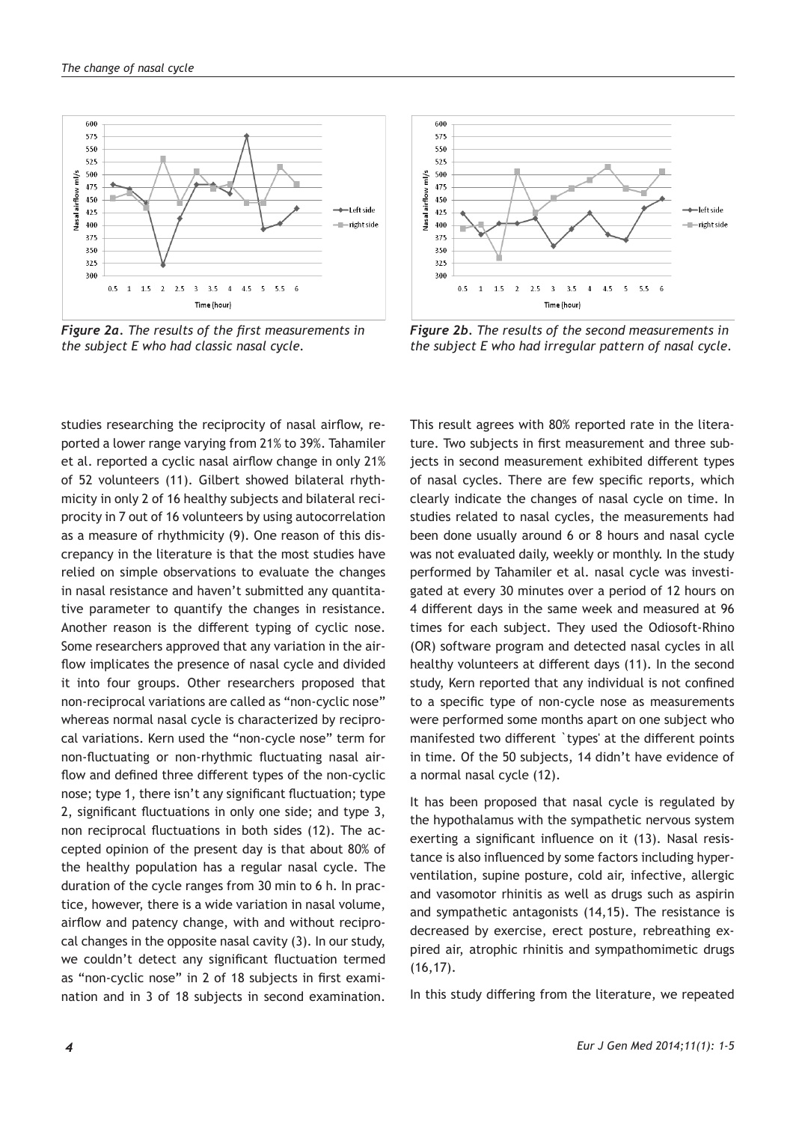

*Figure 2a. The results of the first measurements in the subject E who had classic nasal cycle.* 

studies researching the reciprocity of nasal airflow, reported a lower range varying from 21% to 39%. Tahamiler et al. reported a cyclic nasal airflow change in only 21% of 52 volunteers (11). Gilbert showed bilateral rhythmicity in only 2 of 16 healthy subjects and bilateral reciprocity in 7 out of 16 volunteers by using autocorrelation as a measure of rhythmicity (9). One reason of this discrepancy in the literature is that the most studies have relied on simple observations to evaluate the changes in nasal resistance and haven't submitted any quantitative parameter to quantify the changes in resistance. Another reason is the different typing of cyclic nose. Some researchers approved that any variation in the airflow implicates the presence of nasal cycle and divided it into four groups. Other researchers proposed that non-reciprocal variations are called as "non-cyclic nose" whereas normal nasal cycle is characterized by reciprocal variations. Kern used the "non-cycle nose" term for non-fluctuating or non-rhythmic fluctuating nasal airflow and defined three different types of the non-cyclic nose; type 1, there isn't any significant fluctuation; type 2, significant fluctuations in only one side; and type 3, non reciprocal fluctuations in both sides (12). The accepted opinion of the present day is that about 80% of the healthy population has a regular nasal cycle. The duration of the cycle ranges from 30 min to 6 h. In practice, however, there is a wide variation in nasal volume, airflow and patency change, with and without reciprocal changes in the opposite nasal cavity (3). In our study, we couldn't detect any significant fluctuation termed as "non-cyclic nose" in 2 of 18 subjects in first examination and in 3 of 18 subjects in second examination.



*Figure 2b. The results of the second measurements in the subject E who had irregular pattern of nasal cycle.*

This result agrees with 80% reported rate in the literature. Two subjects in first measurement and three subjects in second measurement exhibited different types of nasal cycles. There are few specific reports, which clearly indicate the changes of nasal cycle on time. In studies related to nasal cycles, the measurements had been done usually around 6 or 8 hours and nasal cycle was not evaluated daily, weekly or monthly. In the study performed by Tahamiler et al. nasal cycle was investigated at every 30 minutes over a period of 12 hours on 4 different days in the same week and measured at 96 times for each subject. They used the Odiosoft-Rhino (OR) software program and detected nasal cycles in all healthy volunteers at different days (11). In the second study, Kern reported that any individual is not confined to a specific type of non-cycle nose as measurements were performed some months apart on one subject who manifested two different `types' at the different points in time. Of the 50 subjects, 14 didn't have evidence of a normal nasal cycle (12).

It has been proposed that nasal cycle is regulated by the hypothalamus with the sympathetic nervous system exerting a significant influence on it (13). Nasal resistance is also influenced by some factors including hyperventilation, supine posture, cold air, infective, allergic and vasomotor rhinitis as well as drugs such as aspirin and sympathetic antagonists (14,15). The resistance is decreased by exercise, erect posture, rebreathing expired air, atrophic rhinitis and sympathomimetic drugs (16,17).

In this study differing from the literature, we repeated